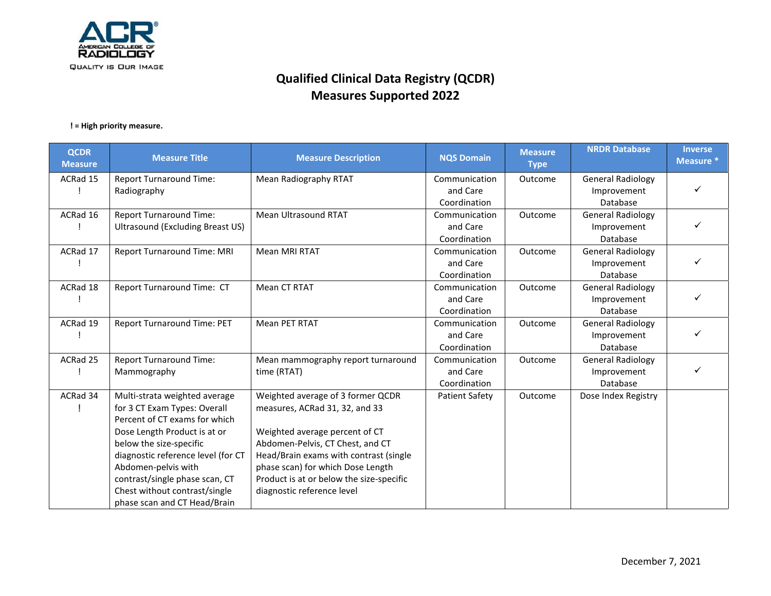

| <b>QCDR</b><br><b>Measure</b> | <b>Measure Title</b>                                    | <b>Measure Description</b>                                         | <b>NQS Domain</b>        | <b>Measure</b><br><b>Type</b> | <b>NRDR Database</b>     | <b>Inverse</b><br>Measure * |
|-------------------------------|---------------------------------------------------------|--------------------------------------------------------------------|--------------------------|-------------------------------|--------------------------|-----------------------------|
| ACRad 15                      | <b>Report Turnaround Time:</b>                          | Mean Radiography RTAT                                              | Communication            | Outcome                       | <b>General Radiology</b> |                             |
|                               | Radiography                                             |                                                                    | and Care<br>Coordination |                               | Improvement<br>Database  |                             |
| ACRad 16                      | <b>Report Turnaround Time:</b>                          | Mean Ultrasound RTAT                                               | Communication            | Outcome                       | <b>General Radiology</b> |                             |
|                               | Ultrasound (Excluding Breast US)                        |                                                                    | and Care<br>Coordination |                               | Improvement<br>Database  |                             |
| ACRad 17                      | <b>Report Turnaround Time: MRI</b>                      | <b>Mean MRI RTAT</b>                                               | Communication            | Outcome                       | <b>General Radiology</b> |                             |
|                               |                                                         |                                                                    | and Care                 |                               | Improvement              |                             |
|                               |                                                         |                                                                    | Coordination             |                               | Database                 |                             |
| ACRad 18                      | Report Turnaround Time: CT                              | Mean CT RTAT                                                       | Communication            | Outcome                       | <b>General Radiology</b> |                             |
|                               |                                                         |                                                                    | and Care<br>Coordination |                               | Improvement<br>Database  |                             |
| ACRad 19                      | Report Turnaround Time: PET                             | Mean PET RTAT                                                      | Communication            | Outcome                       | <b>General Radiology</b> |                             |
|                               |                                                         |                                                                    | and Care                 |                               | Improvement              |                             |
|                               |                                                         |                                                                    | Coordination             |                               | Database                 |                             |
| ACRad 25                      | <b>Report Turnaround Time:</b>                          | Mean mammography report turnaround                                 | Communication            | Outcome                       | <b>General Radiology</b> |                             |
|                               | Mammography                                             | time (RTAT)                                                        | and Care                 |                               | Improvement              |                             |
|                               |                                                         |                                                                    | Coordination             |                               | Database                 |                             |
| ACRad 34                      | Multi-strata weighted average                           | Weighted average of 3 former QCDR                                  | <b>Patient Safety</b>    | Outcome                       | Dose Index Registry      |                             |
|                               | for 3 CT Exam Types: Overall                            | measures, ACRad 31, 32, and 33                                     |                          |                               |                          |                             |
|                               | Percent of CT exams for which                           |                                                                    |                          |                               |                          |                             |
|                               | Dose Length Product is at or<br>below the size-specific | Weighted average percent of CT<br>Abdomen-Pelvis, CT Chest, and CT |                          |                               |                          |                             |
|                               | diagnostic reference level (for CT                      | Head/Brain exams with contrast (single                             |                          |                               |                          |                             |
|                               | Abdomen-pelvis with                                     | phase scan) for which Dose Length                                  |                          |                               |                          |                             |
|                               | contrast/single phase scan, CT                          | Product is at or below the size-specific                           |                          |                               |                          |                             |
|                               | Chest without contrast/single                           | diagnostic reference level                                         |                          |                               |                          |                             |
|                               | phase scan and CT Head/Brain                            |                                                                    |                          |                               |                          |                             |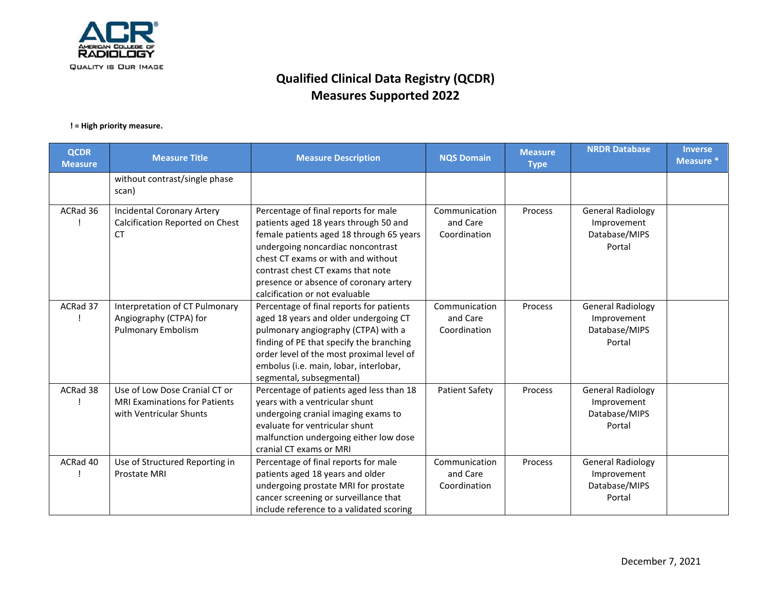

| <b>QCDR</b><br><b>Measure</b> | <b>Measure Title</b>                                                                             | <b>Measure Description</b>                                                                                                                                                                                                                                                                                            | <b>NQS Domain</b>                         | <b>Measure</b><br><b>Type</b> | <b>NRDR Database</b>                                               | <b>Inverse</b><br>Measure * |
|-------------------------------|--------------------------------------------------------------------------------------------------|-----------------------------------------------------------------------------------------------------------------------------------------------------------------------------------------------------------------------------------------------------------------------------------------------------------------------|-------------------------------------------|-------------------------------|--------------------------------------------------------------------|-----------------------------|
|                               | without contrast/single phase<br>scan)                                                           |                                                                                                                                                                                                                                                                                                                       |                                           |                               |                                                                    |                             |
| ACRad 36                      | <b>Incidental Coronary Artery</b><br>Calcification Reported on Chest<br>СT                       | Percentage of final reports for male<br>patients aged 18 years through 50 and<br>female patients aged 18 through 65 years<br>undergoing noncardiac noncontrast<br>chest CT exams or with and without<br>contrast chest CT exams that note<br>presence or absence of coronary artery<br>calcification or not evaluable | Communication<br>and Care<br>Coordination | Process                       | <b>General Radiology</b><br>Improvement<br>Database/MIPS<br>Portal |                             |
| ACRad 37                      | Interpretation of CT Pulmonary<br>Angiography (CTPA) for<br><b>Pulmonary Embolism</b>            | Percentage of final reports for patients<br>aged 18 years and older undergoing CT<br>pulmonary angiography (CTPA) with a<br>finding of PE that specify the branching<br>order level of the most proximal level of<br>embolus (i.e. main, lobar, interlobar,<br>segmental, subsegmental)                               | Communication<br>and Care<br>Coordination | Process                       | <b>General Radiology</b><br>Improvement<br>Database/MIPS<br>Portal |                             |
| ACRad 38                      | Use of Low Dose Cranial CT or<br><b>MRI Examinations for Patients</b><br>with Ventricular Shunts | Percentage of patients aged less than 18<br>years with a ventricular shunt<br>undergoing cranial imaging exams to<br>evaluate for ventricular shunt<br>malfunction undergoing either low dose<br>cranial CT exams or MRI                                                                                              | <b>Patient Safety</b>                     | Process                       | <b>General Radiology</b><br>Improvement<br>Database/MIPS<br>Portal |                             |
| ACRad 40                      | Use of Structured Reporting in<br>Prostate MRI                                                   | Percentage of final reports for male<br>patients aged 18 years and older<br>undergoing prostate MRI for prostate<br>cancer screening or surveillance that<br>include reference to a validated scoring                                                                                                                 | Communication<br>and Care<br>Coordination | Process                       | <b>General Radiology</b><br>Improvement<br>Database/MIPS<br>Portal |                             |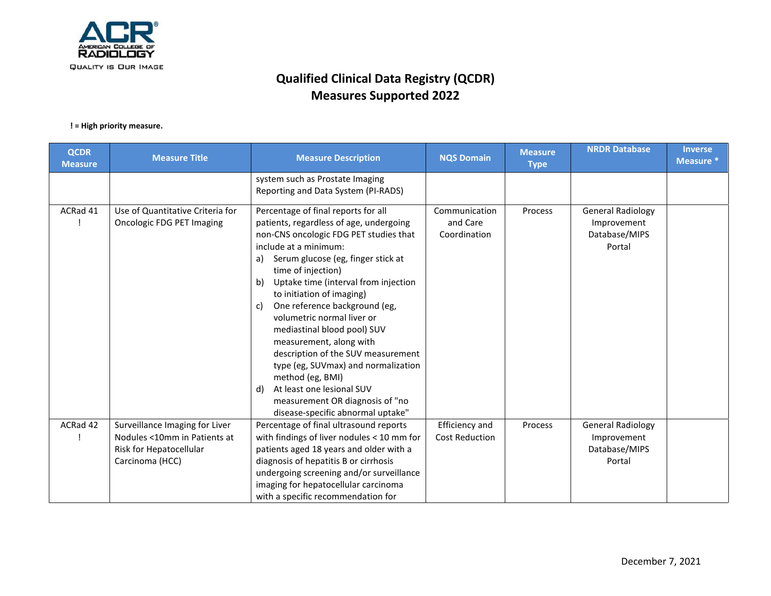

| <b>Measure Title</b>                                           | <b>Measure Description</b>                                                                                                                                                                                                                                                                                                                                                                                                                                                                                                                                                                                                                | <b>NQS Domain</b>                                                                                                                                               | <b>Measure</b><br><b>Type</b> | <b>NRDR Database</b>                                               | <b>Inverse</b><br>Measure * |
|----------------------------------------------------------------|-------------------------------------------------------------------------------------------------------------------------------------------------------------------------------------------------------------------------------------------------------------------------------------------------------------------------------------------------------------------------------------------------------------------------------------------------------------------------------------------------------------------------------------------------------------------------------------------------------------------------------------------|-----------------------------------------------------------------------------------------------------------------------------------------------------------------|-------------------------------|--------------------------------------------------------------------|-----------------------------|
|                                                                | system such as Prostate Imaging<br>Reporting and Data System (PI-RADS)                                                                                                                                                                                                                                                                                                                                                                                                                                                                                                                                                                    |                                                                                                                                                                 |                               |                                                                    |                             |
| Use of Quantitative Criteria for<br>Oncologic FDG PET Imaging  | Percentage of final reports for all<br>patients, regardless of age, undergoing<br>non-CNS oncologic FDG PET studies that<br>include at a minimum:<br>Serum glucose (eg, finger stick at<br>a)<br>time of injection)<br>Uptake time (interval from injection<br>b)<br>to initiation of imaging)<br>One reference background (eg,<br>c)<br>volumetric normal liver or<br>mediastinal blood pool) SUV<br>measurement, along with<br>description of the SUV measurement<br>type (eg, SUVmax) and normalization<br>method (eg, BMI)<br>At least one lesional SUV<br>d)<br>measurement OR diagnosis of "no<br>disease-specific abnormal uptake" | Communication<br>and Care<br>Coordination                                                                                                                       | Process                       | <b>General Radiology</b><br>Improvement<br>Database/MIPS<br>Portal |                             |
| Surveillance Imaging for Liver<br>Nodules <10mm in Patients at | Percentage of final ultrasound reports<br>with findings of liver nodules < 10 mm for                                                                                                                                                                                                                                                                                                                                                                                                                                                                                                                                                      | Efficiency and<br><b>Cost Reduction</b>                                                                                                                         | Process                       | <b>General Radiology</b><br>Improvement                            |                             |
| Risk for Hepatocellular                                        | patients aged 18 years and older with a                                                                                                                                                                                                                                                                                                                                                                                                                                                                                                                                                                                                   |                                                                                                                                                                 |                               | Database/MIPS                                                      |                             |
|                                                                |                                                                                                                                                                                                                                                                                                                                                                                                                                                                                                                                                                                                                                           |                                                                                                                                                                 |                               | Portal                                                             |                             |
|                                                                |                                                                                                                                                                                                                                                                                                                                                                                                                                                                                                                                                                                                                                           |                                                                                                                                                                 |                               |                                                                    |                             |
|                                                                |                                                                                                                                                                                                                                                                                                                                                                                                                                                                                                                                                                                                                                           |                                                                                                                                                                 |                               |                                                                    |                             |
|                                                                | Carcinoma (HCC)                                                                                                                                                                                                                                                                                                                                                                                                                                                                                                                                                                                                                           | diagnosis of hepatitis B or cirrhosis<br>undergoing screening and/or surveillance<br>imaging for hepatocellular carcinoma<br>with a specific recommendation for |                               |                                                                    |                             |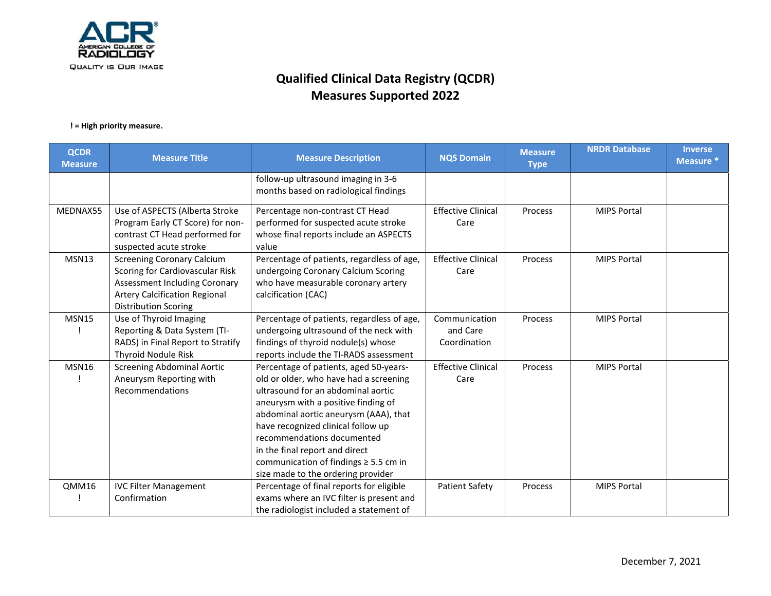

| <b>QCDR</b><br><b>Measure</b> | <b>Measure Title</b>                                                                                                                                                                | <b>Measure Description</b>                                                                                                                                                                                                                                                                                                                                                                       | <b>NQS Domain</b>                         | <b>Measure</b><br><b>Type</b> | <b>NRDR Database</b> | <b>Inverse</b><br>Measure * |
|-------------------------------|-------------------------------------------------------------------------------------------------------------------------------------------------------------------------------------|--------------------------------------------------------------------------------------------------------------------------------------------------------------------------------------------------------------------------------------------------------------------------------------------------------------------------------------------------------------------------------------------------|-------------------------------------------|-------------------------------|----------------------|-----------------------------|
|                               |                                                                                                                                                                                     | follow-up ultrasound imaging in 3-6<br>months based on radiological findings                                                                                                                                                                                                                                                                                                                     |                                           |                               |                      |                             |
| MEDNAX55                      | Use of ASPECTS (Alberta Stroke<br>Program Early CT Score) for non-<br>contrast CT Head performed for<br>suspected acute stroke                                                      | Percentage non-contrast CT Head<br>performed for suspected acute stroke<br>whose final reports include an ASPECTS<br>value                                                                                                                                                                                                                                                                       | <b>Effective Clinical</b><br>Care         | Process                       | <b>MIPS Portal</b>   |                             |
| <b>MSN13</b>                  | <b>Screening Coronary Calcium</b><br>Scoring for Cardiovascular Risk<br><b>Assessment Including Coronary</b><br><b>Artery Calcification Regional</b><br><b>Distribution Scoring</b> | Percentage of patients, regardless of age,<br>undergoing Coronary Calcium Scoring<br>who have measurable coronary artery<br>calcification (CAC)                                                                                                                                                                                                                                                  | <b>Effective Clinical</b><br>Care         | Process                       | <b>MIPS Portal</b>   |                             |
| <b>MSN15</b>                  | Use of Thyroid Imaging<br>Reporting & Data System (TI-<br>RADS) in Final Report to Stratify<br><b>Thyroid Nodule Risk</b>                                                           | Percentage of patients, regardless of age,<br>undergoing ultrasound of the neck with<br>findings of thyroid nodule(s) whose<br>reports include the TI-RADS assessment                                                                                                                                                                                                                            | Communication<br>and Care<br>Coordination | Process                       | <b>MIPS Portal</b>   |                             |
| <b>MSN16</b>                  | <b>Screening Abdominal Aortic</b><br>Aneurysm Reporting with<br>Recommendations                                                                                                     | Percentage of patients, aged 50-years-<br>old or older, who have had a screening<br>ultrasound for an abdominal aortic<br>aneurysm with a positive finding of<br>abdominal aortic aneurysm (AAA), that<br>have recognized clinical follow up<br>recommendations documented<br>in the final report and direct<br>communication of findings $\geq$ 5.5 cm in<br>size made to the ordering provider | <b>Effective Clinical</b><br>Care         | Process                       | <b>MIPS Portal</b>   |                             |
| QMM16                         | <b>IVC Filter Management</b><br>Confirmation                                                                                                                                        | Percentage of final reports for eligible<br>exams where an IVC filter is present and<br>the radiologist included a statement of                                                                                                                                                                                                                                                                  | <b>Patient Safety</b>                     | Process                       | <b>MIPS Portal</b>   |                             |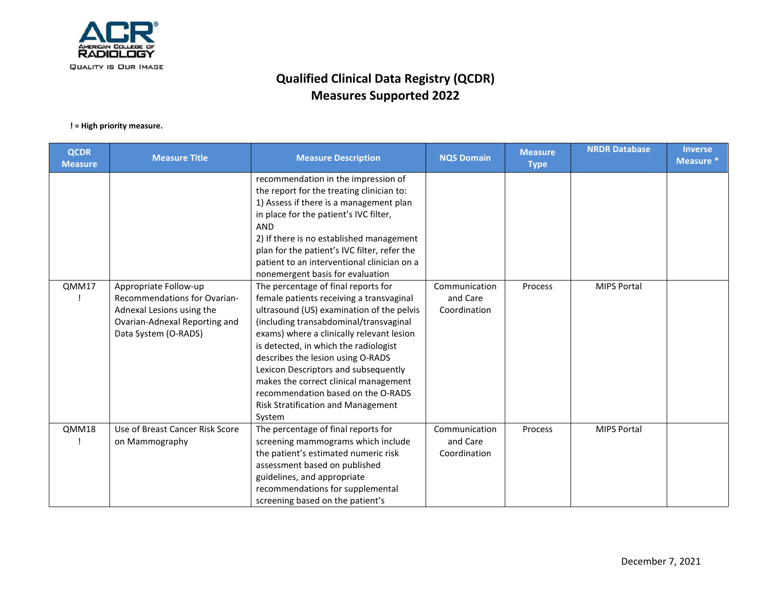

| <b>QCDR</b><br><b>Measure</b> | <b>Measure Title</b>                                                                                                                               | <b>Measure Description</b>                                                                                                                                                                                                                                                                                                                                                                                                                                                                                   | <b>NQS Domain</b>                         | <b>Measure</b><br><b>Type</b> | <b>NRDR Database</b> | <b>Inverse</b><br>Measure * |
|-------------------------------|----------------------------------------------------------------------------------------------------------------------------------------------------|--------------------------------------------------------------------------------------------------------------------------------------------------------------------------------------------------------------------------------------------------------------------------------------------------------------------------------------------------------------------------------------------------------------------------------------------------------------------------------------------------------------|-------------------------------------------|-------------------------------|----------------------|-----------------------------|
|                               |                                                                                                                                                    | recommendation in the impression of<br>the report for the treating clinician to:<br>1) Assess if there is a management plan<br>in place for the patient's IVC filter,<br><b>AND</b><br>2) If there is no established management<br>plan for the patient's IVC filter, refer the<br>patient to an interventional clinician on a                                                                                                                                                                               |                                           |                               |                      |                             |
| QMM17                         | Appropriate Follow-up<br><b>Recommendations for Ovarian-</b><br>Adnexal Lesions using the<br>Ovarian-Adnexal Reporting and<br>Data System (O-RADS) | nonemergent basis for evaluation<br>The percentage of final reports for<br>female patients receiving a transvaginal<br>ultrasound (US) examination of the pelvis<br>(including transabdominal/transvaginal<br>exams) where a clinically relevant lesion<br>is detected, in which the radiologist<br>describes the lesion using O-RADS<br>Lexicon Descriptors and subsequently<br>makes the correct clinical management<br>recommendation based on the O-RADS<br>Risk Stratification and Management<br>System | Communication<br>and Care<br>Coordination | Process                       | <b>MIPS Portal</b>   |                             |
| QMM18                         | Use of Breast Cancer Risk Score<br>on Mammography                                                                                                  | The percentage of final reports for<br>screening mammograms which include<br>the patient's estimated numeric risk<br>assessment based on published<br>guidelines, and appropriate<br>recommendations for supplemental<br>screening based on the patient's                                                                                                                                                                                                                                                    | Communication<br>and Care<br>Coordination | Process                       | <b>MIPS Portal</b>   |                             |